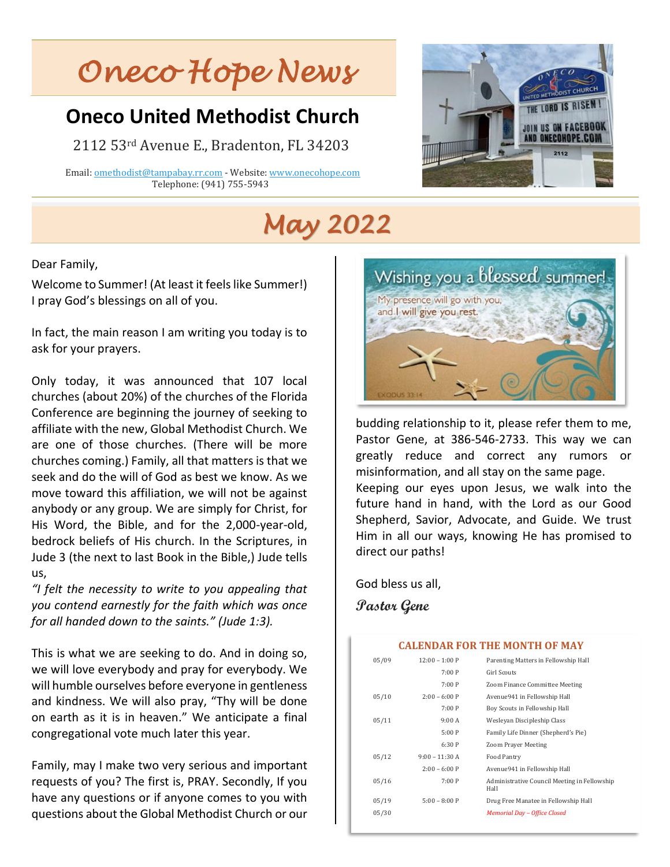# *Oneco Hope News*

## **Oneco United Methodist Church**

2112 53rd Avenue E., Bradenton, FL 34203

 Email[: omethodist@tampabay.rr.com](mailto:omethodist@tampabay.rr.com) - Website[: www.onecohope.com](http://www.onecohope.com/) Telephone: (941) 755-5943

# *May 2022*

Dear Family,

Welcome to Summer! (At least it feels like Summer!) I pray God's blessings on all of you.

In fact, the main reason I am writing you today is to ask for your prayers.

Only today, it was announced that 107 local churches (about 20%) of the churches of the Florida Conference are beginning the journey of seeking to affiliate with the new, Global Methodist Church. We are one of those churches. (There will be more churches coming.) Family, all that matters is that we seek and do the will of God as best we know. As we move toward this affiliation, we will not be against anybody or any group. We are simply for Christ, for His Word, the Bible, and for the 2,000-year-old, bedrock beliefs of His church. In the Scriptures, in Jude 3 (the next to last Book in the Bible,) Jude tells us,

*"I felt the necessity to write to you appealing that you contend earnestly for the faith which was once for all handed down to the saints." (Jude 1:3).*

This is what we are seeking to do. And in doing so, we will love everybody and pray for everybody. We will humble ourselves before everyone in gentleness and kindness. We will also pray, "Thy will be done on earth as it is in heaven." We anticipate a final congregational vote much later this year.

Family, may I make two very serious and important requests of you? The first is, PRAY. Secondly, If you have any questions or if anyone comes to you with questions about the Global Methodist Church or our



**US ON FACEBOO** ONECOHOPE.CO

budding relationship to it, please refer them to me, Pastor Gene, at 386-546-2733. This way we can greatly reduce and correct any rumors or misinformation, and all stay on the same page. Keeping our eyes upon Jesus, we walk into the future hand in hand, with the Lord as our Good Shepherd, Savior, Advocate, and Guide. We trust Him in all our ways, knowing He has promised to direct our paths!

God bless us all,

**Pastor Gene**

| <b>CALENDAR FOR THE MONTH OF MAY</b> |                  |                                                      |  |
|--------------------------------------|------------------|------------------------------------------------------|--|
| 05/09                                | $12:00 - 1:00 P$ | Parenting Matters in Fellowship Hall                 |  |
|                                      | 7:00P            | Girl Scouts                                          |  |
|                                      | 7:00P            | Zoom Finance Committee Meeting                       |  |
| 05/10                                | $2:00 - 6:00 P$  | Avenue941 in Fellowship Hall                         |  |
|                                      | 7:00P            | Boy Scouts in Fellowship Hall                        |  |
| 05/11                                | 9:00A            | Wesleyan Discipleship Class                          |  |
|                                      | 5:00P            | Family Life Dinner (Shepherd's Pie)                  |  |
|                                      | 6:30P            | <b>Zoom Prayer Meeting</b>                           |  |
| 05/12                                | $9:00 - 11:30 A$ | Food Pantry                                          |  |
|                                      | $2:00 - 6:00 P$  | Avenue941 in Fellowship Hall                         |  |
| 05/16                                | 7:00P            | Administrative Council Meeting in Fellowship<br>Hall |  |
| 05/19                                | $5:00 - 8:00 P$  | Drug Free Manatee in Fellowship Hall                 |  |
| 05/30                                |                  | Memorial Day - Office Closed                         |  |